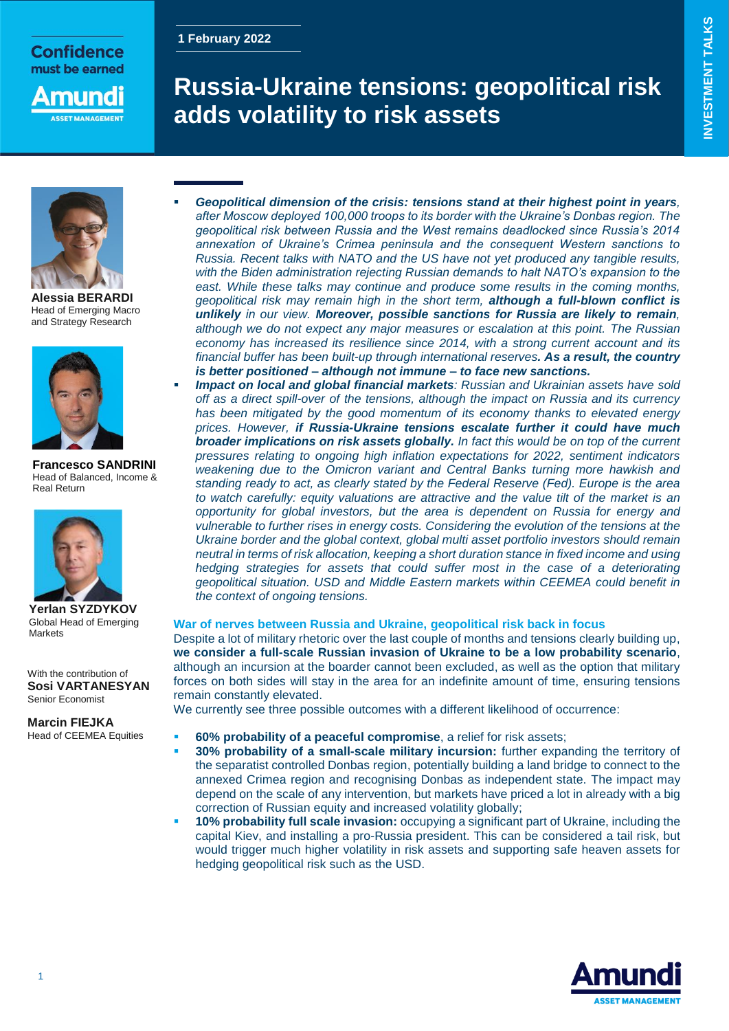# **1 February 2022**

must be earned nuna

**SET MANAGEMEN** 

**Confidence** 

# **Russia-Ukraine tensions: geopolitical risk adds volatility to risk assets**



**Alessia BERARDI** Head of Emerging Macro and Strategy Research



**Francesco SANDRINI** Head of Balanced, Income & Real Return



**Yerlan SYZDYKOV** Global Head of Emerging **Markets** 

With the contribution of **Sosi VARTANESYAN** Senior Economist

**Marcin FIEJKA** Head of CEEMEA Equities

- *Geopolitical dimension of the crisis: tensions stand at their highest point in years, after Moscow deployed 100,000 troops to its border with the Ukraine's Donbas region. The geopolitical risk between Russia and the West remains deadlocked since Russia's 2014 annexation of Ukraine's Crimea peninsula and the consequent Western sanctions to Russia. Recent talks with NATO and the US have not yet produced any tangible results, with the Biden administration rejecting Russian demands to halt NATO's expansion to the*  east. While these talks may continue and produce some results in the coming months, *geopolitical risk may remain high in the short term, although a full-blown conflict is unlikely in our view. Moreover, possible sanctions for Russia are likely to remain, although we do not expect any major measures or escalation at this point. The Russian economy has increased its resilience since 2014, with a strong current account and its financial buffer has been built-up through international reserves. As a result, the country is better positioned – although not immune – to face new sanctions.*
	- *Impact on local and global financial markets: Russian and Ukrainian assets have sold off as a direct spill-over of the tensions, although the impact on Russia and its currency has been mitigated by the good momentum of its economy thanks to elevated energy prices. However, if Russia-Ukraine tensions escalate further it could have much broader implications on risk assets globally. In fact this would be on top of the current pressures relating to ongoing high inflation expectations for 2022, sentiment indicators*  weakening due to the Omicron variant and Central Banks turning more hawkish and *standing ready to act, as clearly stated by the Federal Reserve (Fed). Europe is the area to watch carefully: equity valuations are attractive and the value tilt of the market is an opportunity for global investors, but the area is dependent on Russia for energy and vulnerable to further rises in energy costs. Considering the evolution of the tensions at the Ukraine border and the global context, global multi asset portfolio investors should remain neutral in terms of risk allocation, keeping a short duration stance in fixed income and using hedging strategies for assets that could suffer most in the case of a deteriorating geopolitical situation. USD and Middle Eastern markets within CEEMEA could benefit in the context of ongoing tensions.*

## **War of nerves between Russia and Ukraine, geopolitical risk back in focus**

Despite a lot of military rhetoric over the last couple of months and tensions clearly building up, **we consider a full-scale Russian invasion of Ukraine to be a low probability scenario**, although an incursion at the boarder cannot been excluded, as well as the option that military forces on both sides will stay in the area for an indefinite amount of time, ensuring tensions remain constantly elevated.

We currently see three possible outcomes with a different likelihood of occurrence:

- **60% probability of a peaceful compromise**, a relief for risk assets;
- **30% probability of a small-scale military incursion:** further expanding the territory of the separatist controlled Donbas region, potentially building a land bridge to connect to the annexed Crimea region and recognising Donbas as independent state. The impact may depend on the scale of any intervention, but markets have priced a lot in already with a big correction of Russian equity and increased volatility globally;
- **10% probability full scale invasion:** occupying a significant part of Ukraine, including the capital Kiev, and installing a pro-Russia president. This can be considered a tail risk, but would trigger much higher volatility in risk assets and supporting safe heaven assets for hedging geopolitical risk such as the USD.

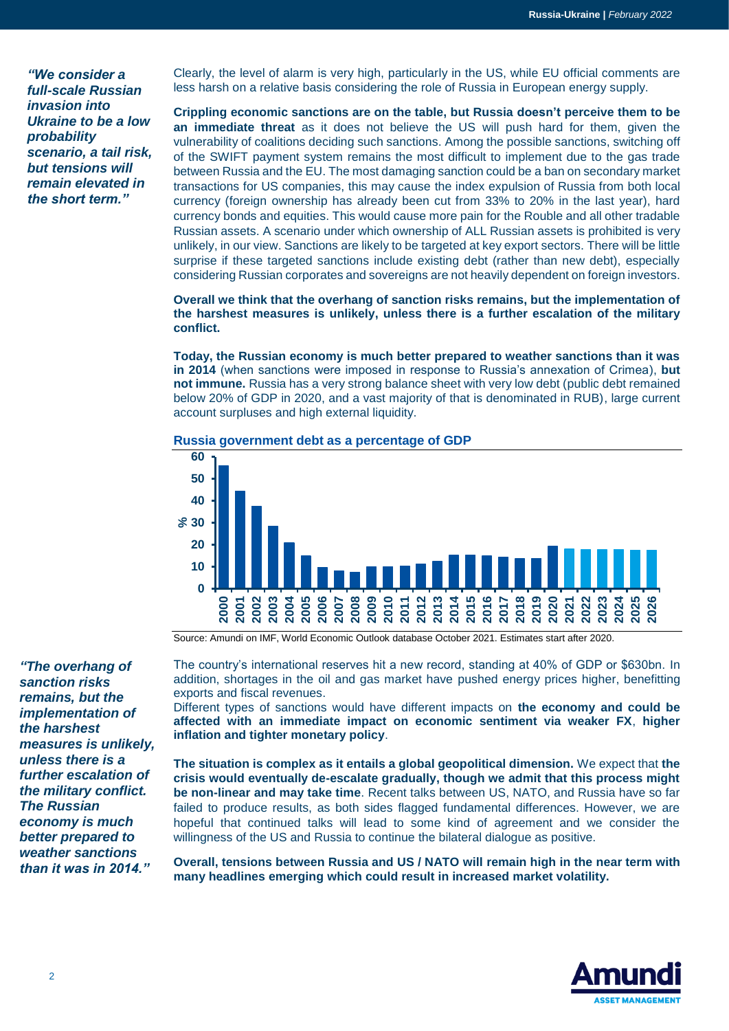*"We consider a full-scale Russian invasion into Ukraine to be a low probability scenario, a tail risk, but tensions will remain elevated in the short term."*

Clearly, the level of alarm is very high, particularly in the US, while EU official comments are less harsh on a relative basis considering the role of Russia in European energy supply.

**Crippling economic sanctions are on the table, but Russia doesn't perceive them to be an immediate threat** as it does not believe the US will push hard for them, given the vulnerability of coalitions deciding such sanctions. Among the possible sanctions, switching off of the SWIFT payment system remains the most difficult to implement due to the gas trade between Russia and the EU. The most damaging sanction could be a ban on secondary market transactions for US companies, this may cause the index expulsion of Russia from both local currency (foreign ownership has already been cut from 33% to 20% in the last year), hard currency bonds and equities. This would cause more pain for the Rouble and all other tradable Russian assets. A scenario under which ownership of ALL Russian assets is prohibited is very unlikely, in our view. Sanctions are likely to be targeted at key export sectors. There will be little surprise if these targeted sanctions include existing debt (rather than new debt), especially considering Russian corporates and sovereigns are not heavily dependent on foreign investors.

**Overall we think that the overhang of sanction risks remains, but the implementation of the harshest measures is unlikely, unless there is a further escalation of the military conflict.**

**Today, the Russian economy is much better prepared to weather sanctions than it was in 2014** (when sanctions were imposed in response to Russia's annexation of Crimea), **but not immune.** Russia has a very strong balance sheet with very low debt (public debt remained below 20% of GDP in 2020, and a vast majority of that is denominated in RUB), large current account surpluses and high external liquidity.



**Russia government debt as a percentage of GDP** 

Source: Amundi on IMF, World Economic Outlook database October 2021. Estimates start after 2020.

*"The overhang of sanction risks remains, but the implementation of the harshest measures is unlikely, unless there is a further escalation of the military conflict. The Russian economy is much better prepared to weather sanctions than it was in 2014."*

The country's international reserves hit a new record, standing at 40% of GDP or \$630bn. In addition, shortages in the oil and gas market have pushed energy prices higher, benefitting exports and fiscal revenues.

Different types of sanctions would have different impacts on **the economy and could be affected with an immediate impact on economic sentiment via weaker FX**, **higher inflation and tighter monetary policy**.

**The situation is complex as it entails a global geopolitical dimension.** We expect that **the crisis would eventually de-escalate gradually, though we admit that this process might be non-linear and may take time**. Recent talks between US, NATO, and Russia have so far failed to produce results, as both sides flagged fundamental differences. However, we are hopeful that continued talks will lead to some kind of agreement and we consider the willingness of the US and Russia to continue the bilateral dialogue as positive.

**Overall, tensions between Russia and US / NATO will remain high in the near term with many headlines emerging which could result in increased market volatility.**

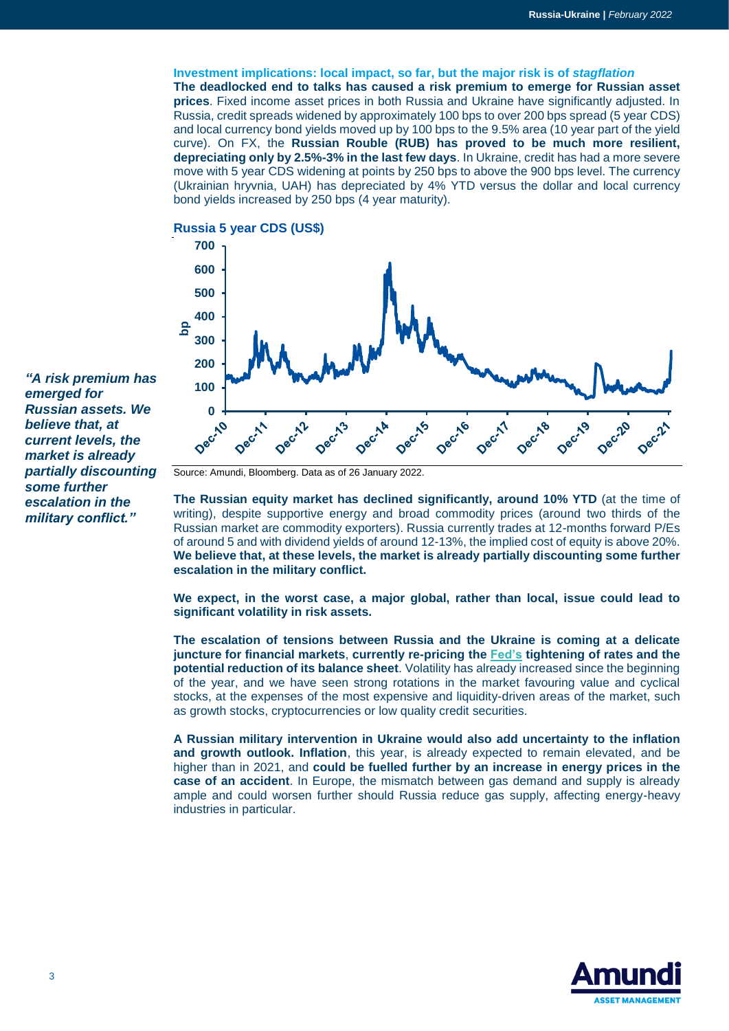**Investment implications: local impact, so far, but the major risk is of** *stagflation* **The deadlocked end to talks has caused a risk premium to emerge for Russian asset prices**. Fixed income asset prices in both Russia and Ukraine have significantly adjusted. In Russia, credit spreads widened by approximately 100 bps to over 200 bps spread (5 year CDS) and local currency bond yields moved up by 100 bps to the 9.5% area (10 year part of the yield curve). On FX, the **Russian Rouble (RUB) has proved to be much more resilient, depreciating only by 2.5%-3% in the last few days**. In Ukraine, credit has had a more severe move with 5 year CDS widening at points by 250 bps to above the 900 bps level. The currency (Ukrainian hryvnia, UAH) has depreciated by 4% YTD versus the dollar and local currency bond yields increased by 250 bps (4 year maturity).





*"A risk premium has emerged for Russian assets. We believe that, at current levels, the market is already partially discounting some further escalation in the military conflict."*

Source: Amundi, Bloomberg. Data as of 26 January 2022.

**The Russian equity market has declined significantly, around 10% YTD** (at the time of writing), despite supportive energy and broad commodity prices (around two thirds of the Russian market are commodity exporters). Russia currently trades at 12-months forward P/Es of around 5 and with dividend yields of around 12-13%, the implied cost of equity is above 20%. **We believe that, at these levels, the market is already partially discounting some further escalation in the military conflict.**

**We expect, in the worst case, a major global, rather than local, issue could lead to significant volatility in risk assets.** 

**The escalation of tensions between Russia and the Ukraine is coming at a delicate juncture for financial markets**, **currently re-pricing the [Fed's](https://research-center.amundi.com/article/25-26-january-fomc-review-giving-all-clear-march-hike) tightening of rates and the potential reduction of its balance sheet**. Volatility has already increased since the beginning of the year, and we have seen strong rotations in the market favouring value and cyclical stocks, at the expenses of the most expensive and liquidity-driven areas of the market, such as growth stocks, cryptocurrencies or low quality credit securities.

**A Russian military intervention in Ukraine would also add uncertainty to the inflation and growth outlook. Inflation**, this year, is already expected to remain elevated, and be higher than in 2021, and **could be fuelled further by an increase in energy prices in the case of an accident**. In Europe, the mismatch between gas demand and supply is already ample and could worsen further should Russia reduce gas supply, affecting energy-heavy industries in particular.

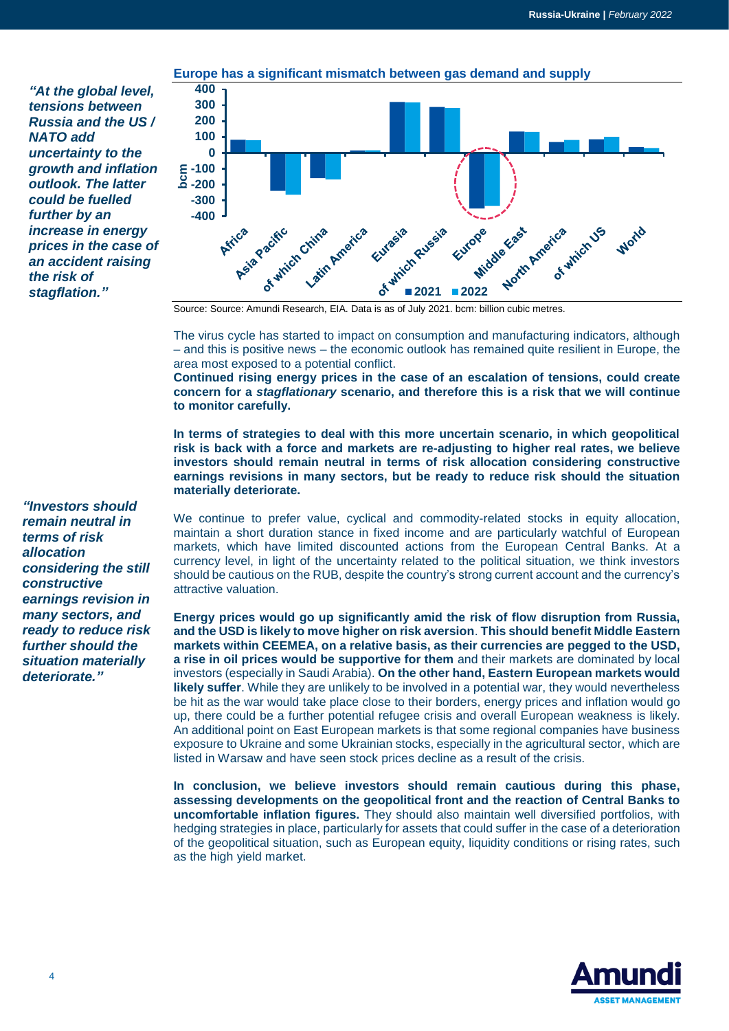*"At the global level, tensions between Russia and the US / NATO add uncertainty to the growth and inflation outlook. The latter could be fuelled further by an increase in energy prices in the case of an accident raising the risk of stagflation."*



The virus cycle has started to impact on consumption and manufacturing indicators, although – and this is positive news – the economic outlook has remained quite resilient in Europe, the area most exposed to a potential conflict.

**Continued rising energy prices in the case of an escalation of tensions, could create concern for a** *stagflationary* **scenario, and therefore this is a risk that we will continue to monitor carefully.** 

**In terms of strategies to deal with this more uncertain scenario, in which geopolitical risk is back with a force and markets are re-adjusting to higher real rates, we believe investors should remain neutral in terms of risk allocation considering constructive earnings revisions in many sectors, but be ready to reduce risk should the situation materially deteriorate.** 

We continue to prefer value, cyclical and commodity-related stocks in equity allocation, maintain a short duration stance in fixed income and are particularly watchful of European markets, which have limited discounted actions from the European Central Banks. At a currency level, in light of the uncertainty related to the political situation, we think investors should be cautious on the RUB, despite the country's strong current account and the currency's attractive valuation.

**Energy prices would go up significantly amid the risk of flow disruption from Russia, and the USD is likely to move higher on risk aversion**. **This should benefit Middle Eastern markets within CEEMEA, on a relative basis, as their currencies are pegged to the USD, a rise in oil prices would be supportive for them** and their markets are dominated by local investors (especially in Saudi Arabia). **On the other hand, Eastern European markets would likely suffer**. While they are unlikely to be involved in a potential war, they would nevertheless be hit as the war would take place close to their borders, energy prices and inflation would go up, there could be a further potential refugee crisis and overall European weakness is likely. An additional point on East European markets is that some regional companies have business exposure to Ukraine and some Ukrainian stocks, especially in the agricultural sector, which are listed in Warsaw and have seen stock prices decline as a result of the crisis.

**In conclusion, we believe investors should remain cautious during this phase, assessing developments on the geopolitical front and the reaction of Central Banks to uncomfortable inflation figures.** They should also maintain well diversified portfolios, with hedging strategies in place, particularly for assets that could suffer in the case of a deterioration of the geopolitical situation, such as European equity, liquidity conditions or rising rates, such as the high yield market.



*"Investors should remain neutral in terms of risk allocation considering the still constructive earnings revision in many sectors, and ready to reduce risk further should the situation materially deteriorate."*